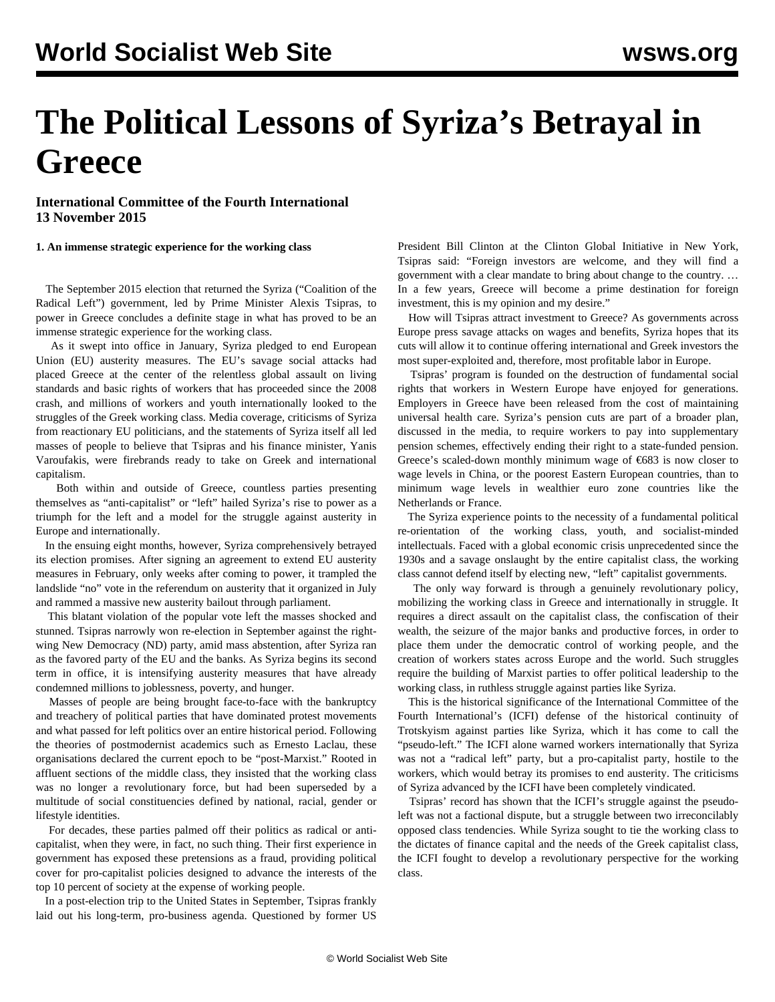# **The Political Lessons of Syriza's Betrayal in Greece**

**International Committee of the Fourth International 13 November 2015**

## **1. An immense strategic experience for the working class**

 The September 2015 election that returned the Syriza ("Coalition of the Radical Left") government, led by Prime Minister Alexis Tsipras, to power in Greece concludes a definite stage in what has proved to be an immense strategic experience for the working class.

 As it swept into office in January, Syriza pledged to end European Union (EU) austerity measures. The EU's savage social attacks had placed Greece at the center of the relentless global assault on living standards and basic rights of workers that has proceeded since the 2008 crash, and millions of workers and youth internationally looked to the struggles of the Greek working class. Media coverage, criticisms of Syriza from reactionary EU politicians, and the statements of Syriza itself all led masses of people to believe that Tsipras and his finance minister, Yanis Varoufakis, were firebrands ready to take on Greek and international capitalism.

 Both within and outside of Greece, countless parties presenting themselves as "anti-capitalist" or "left" hailed Syriza's rise to power as a triumph for the left and a model for the struggle against austerity in Europe and internationally.

 In the ensuing eight months, however, Syriza comprehensively betrayed its election promises. After signing an agreement to extend EU austerity measures in February, only weeks after coming to power, it trampled the landslide "no" vote in the referendum on austerity that it organized in July and rammed a massive new austerity bailout through parliament.

 This blatant violation of the popular vote left the masses shocked and stunned. Tsipras narrowly won re-election in September against the rightwing New Democracy (ND) party, amid mass abstention, after Syriza ran as the favored party of the EU and the banks. As Syriza begins its second term in office, it is intensifying austerity measures that have already condemned millions to joblessness, poverty, and hunger.

 Masses of people are being brought face-to-face with the bankruptcy and treachery of political parties that have dominated protest movements and what passed for left politics over an entire historical period. Following the theories of postmodernist academics such as Ernesto Laclau, these organisations declared the current epoch to be "post-Marxist." Rooted in affluent sections of the middle class, they insisted that the working class was no longer a revolutionary force, but had been superseded by a multitude of social constituencies defined by national, racial, gender or lifestyle identities.

 For decades, these parties palmed off their politics as radical or anticapitalist, when they were, in fact, no such thing. Their first experience in government has exposed these pretensions as a fraud, providing political cover for pro-capitalist policies designed to advance the interests of the top 10 percent of society at the expense of working people.

 In a post-election trip to the United States in September, Tsipras frankly laid out his long-term, pro-business agenda. Questioned by former US

President Bill Clinton at the Clinton Global Initiative in New York, Tsipras said: "Foreign investors are welcome, and they will find a government with a clear mandate to bring about change to the country. … In a few years, Greece will become a prime destination for foreign investment, this is my opinion and my desire."

 How will Tsipras attract investment to Greece? As governments across Europe press savage attacks on wages and benefits, Syriza hopes that its cuts will allow it to continue offering international and Greek investors the most super-exploited and, therefore, most profitable labor in Europe.

 Tsipras' program is founded on the destruction of fundamental social rights that workers in Western Europe have enjoyed for generations. Employers in Greece have been released from the cost of maintaining universal health care. Syriza's pension cuts are part of a broader plan, discussed in the media, to require workers to pay into supplementary pension schemes, effectively ending their right to a state-funded pension. Greece's scaled-down monthly minimum wage of €683 is now closer to wage levels in China, or the poorest Eastern European countries, than to minimum wage levels in wealthier euro zone countries like the Netherlands or France.

 The Syriza experience points to the necessity of a fundamental political re-orientation of the working class, youth, and socialist-minded intellectuals. Faced with a global economic crisis unprecedented since the 1930s and a savage onslaught by the entire capitalist class, the working class cannot defend itself by electing new, "left" capitalist governments.

 The only way forward is through a genuinely revolutionary policy, mobilizing the working class in Greece and internationally in struggle. It requires a direct assault on the capitalist class, the confiscation of their wealth, the seizure of the major banks and productive forces, in order to place them under the democratic control of working people, and the creation of workers states across Europe and the world. Such struggles require the building of Marxist parties to offer political leadership to the working class, in ruthless struggle against parties like Syriza.

 This is the historical significance of the International Committee of the Fourth International's (ICFI) defense of the historical continuity of Trotskyism against parties like Syriza, which it has come to call the "pseudo-left." The ICFI alone warned workers internationally that Syriza was not a "radical left" party, but a pro-capitalist party, hostile to the workers, which would betray its promises to end austerity. The criticisms of Syriza advanced by the ICFI have been completely vindicated.

 Tsipras' record has shown that the ICFI's struggle against the pseudoleft was not a factional dispute, but a struggle between two irreconcilably opposed class tendencies. While Syriza sought to tie the working class to the dictates of finance capital and the needs of the Greek capitalist class, the ICFI fought to develop a revolutionary perspective for the working class.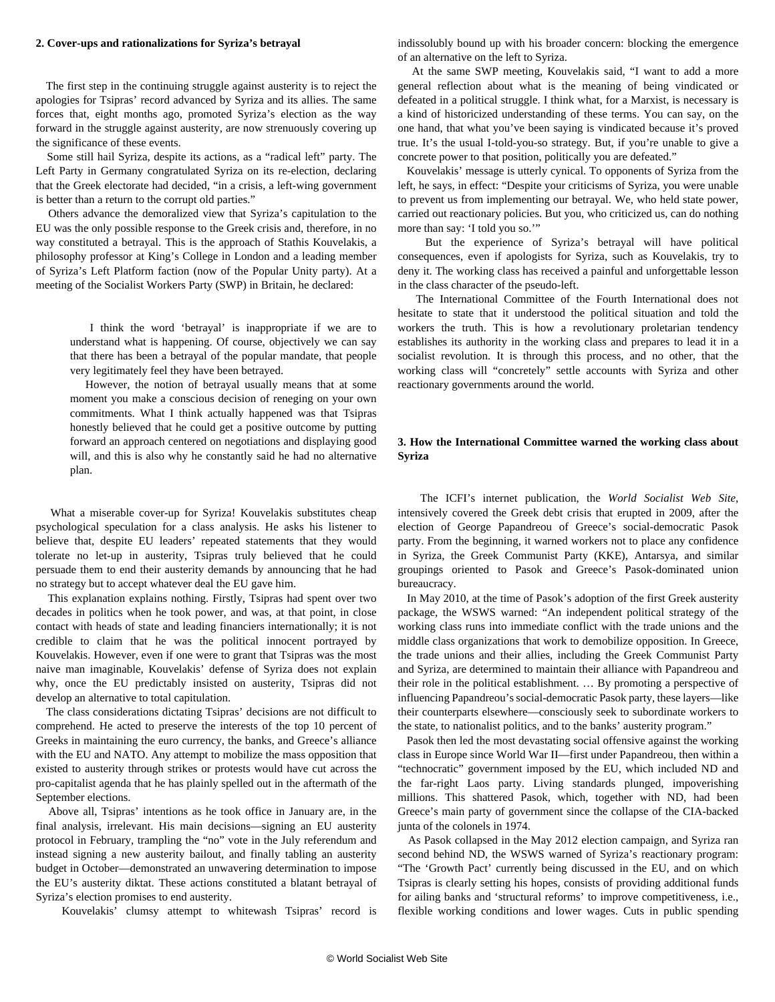#### **2. Cover-ups and rationalizations for Syriza's betrayal**

 The first step in the continuing struggle against austerity is to reject the apologies for Tsipras' record advanced by Syriza and its allies. The same forces that, eight months ago, promoted Syriza's election as the way forward in the struggle against austerity, are now strenuously covering up the significance of these events.

 Some still hail Syriza, despite its actions, as a "radical left" party. The Left Party in Germany congratulated Syriza on its re-election, declaring that the Greek electorate had decided, "in a crisis, a left-wing government is better than a return to the corrupt old parties."

 Others advance the demoralized view that Syriza's capitulation to the EU was the only possible response to the Greek crisis and, therefore, in no way constituted a betrayal. This is the approach of Stathis Kouvelakis, a philosophy professor at King's College in London and a leading member of Syriza's Left Platform faction (now of the Popular Unity party). At a meeting of the Socialist Workers Party (SWP) in Britain, he declared:

 I think the word 'betrayal' is inappropriate if we are to understand what is happening. Of course, objectively we can say that there has been a betrayal of the popular mandate, that people very legitimately feel they have been betrayed.

 However, the notion of betrayal usually means that at some moment you make a conscious decision of reneging on your own commitments. What I think actually happened was that Tsipras honestly believed that he could get a positive outcome by putting forward an approach centered on negotiations and displaying good will, and this is also why he constantly said he had no alternative plan.

 What a miserable cover-up for Syriza! Kouvelakis substitutes cheap psychological speculation for a class analysis. He asks his listener to believe that, despite EU leaders' repeated statements that they would tolerate no let-up in austerity, Tsipras truly believed that he could persuade them to end their austerity demands by announcing that he had no strategy but to accept whatever deal the EU gave him.

 This explanation explains nothing. Firstly, Tsipras had spent over two decades in politics when he took power, and was, at that point, in close contact with heads of state and leading financiers internationally; it is not credible to claim that he was the political innocent portrayed by Kouvelakis. However, even if one were to grant that Tsipras was the most naive man imaginable, Kouvelakis' defense of Syriza does not explain why, once the EU predictably insisted on austerity, Tsipras did not develop an alternative to total capitulation.

 The class considerations dictating Tsipras' decisions are not difficult to comprehend. He acted to preserve the interests of the top 10 percent of Greeks in maintaining the euro currency, the banks, and Greece's alliance with the EU and NATO. Any attempt to mobilize the mass opposition that existed to austerity through strikes or protests would have cut across the pro-capitalist agenda that he has plainly spelled out in the aftermath of the September elections.

 Above all, Tsipras' intentions as he took office in January are, in the final analysis, irrelevant. His main decisions—signing an EU austerity protocol in February, trampling the "no" vote in the July referendum and instead signing a new austerity bailout, and finally tabling an austerity budget in October—demonstrated an unwavering determination to impose the EU's austerity diktat. These actions constituted a blatant betrayal of Syriza's election promises to end austerity.

Kouvelakis' clumsy attempt to whitewash Tsipras' record is

indissolubly bound up with his broader concern: blocking the emergence of an alternative on the left to Syriza.

 At the same SWP meeting, Kouvelakis said, "I want to add a more general reflection about what is the meaning of being vindicated or defeated in a political struggle. I think what, for a Marxist, is necessary is a kind of historicized understanding of these terms. You can say, on the one hand, that what you've been saying is vindicated because it's proved true. It's the usual I-told-you-so strategy. But, if you're unable to give a concrete power to that position, politically you are defeated."

 Kouvelakis' message is utterly cynical. To opponents of Syriza from the left, he says, in effect: "Despite your criticisms of Syriza, you were unable to prevent us from implementing our betrayal. We, who held state power, carried out reactionary policies. But you, who criticized us, can do nothing more than say: 'I told you so.'"

 But the experience of Syriza's betrayal will have political consequences, even if apologists for Syriza, such as Kouvelakis, try to deny it. The working class has received a painful and unforgettable lesson in the class character of the pseudo-left.

 The International Committee of the Fourth International does not hesitate to state that it understood the political situation and told the workers the truth. This is how a revolutionary proletarian tendency establishes its authority in the working class and prepares to lead it in a socialist revolution. It is through this process, and no other, that the working class will "concretely" settle accounts with Syriza and other reactionary governments around the world.

# **3. How the International Committee warned the working class about Syriza**

 The ICFI's internet publication, the *World Socialist Web Site*, intensively covered the Greek debt crisis that erupted in 2009, after the election of George Papandreou of Greece's social-democratic Pasok party. From the beginning, it warned workers not to place any confidence in Syriza, the Greek Communist Party (KKE), Antarsya, and similar groupings oriented to Pasok and Greece's Pasok-dominated union bureaucracy.

 In May 2010, at the time of Pasok's adoption of the first Greek austerity package, the WSWS warned: "An independent political strategy of the working class runs into immediate conflict with the trade unions and the middle class organizations that work to demobilize opposition. In Greece, the trade unions and their allies, including the Greek Communist Party and Syriza, are determined to maintain their alliance with Papandreou and their role in the political establishment. … By promoting a perspective of influencing Papandreou's social-democratic Pasok party, these layers—like their counterparts elsewhere—consciously seek to subordinate workers to the state, to nationalist politics, and to the banks' austerity program."

 Pasok then led the most devastating social offensive against the working class in Europe since World War II—first under Papandreou, then within a "technocratic" government imposed by the EU, which included ND and the far-right Laos party. Living standards plunged, impoverishing millions. This shattered Pasok, which, together with ND, had been Greece's main party of government since the collapse of the CIA-backed junta of the colonels in 1974.

 As Pasok collapsed in the May 2012 election campaign, and Syriza ran second behind ND, the WSWS warned of Syriza's reactionary program: "The 'Growth Pact' currently being discussed in the EU, and on which Tsipras is clearly setting his hopes, consists of providing additional funds for ailing banks and 'structural reforms' to improve competitiveness, i.e., flexible working conditions and lower wages. Cuts in public spending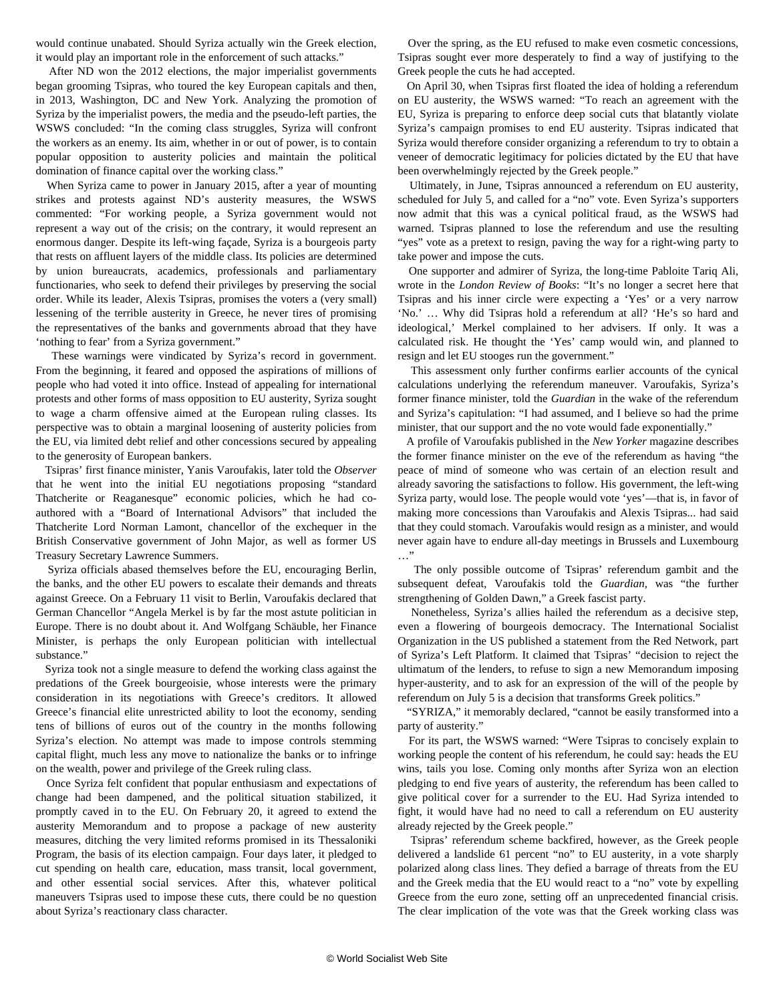would continue unabated. Should Syriza actually win the Greek election, it would play an important role in the enforcement of such attacks."

 After ND won the 2012 elections, the major imperialist governments began grooming Tsipras, who toured the key European capitals and then, in 2013, Washington, DC and New York. Analyzing the promotion of Syriza by the imperialist powers, the media and the pseudo-left parties, the WSWS concluded: "In the coming class struggles, Syriza will confront the workers as an enemy. Its aim, whether in or out of power, is to contain popular opposition to austerity policies and maintain the political domination of finance capital over the working class."

 When Syriza came to power in January 2015, after a year of mounting strikes and protests against ND's austerity measures, the WSWS commented: "For working people, a Syriza government would not represent a way out of the crisis; on the contrary, it would represent an enormous danger. Despite its left-wing façade, Syriza is a bourgeois party that rests on affluent layers of the middle class. Its policies are determined by union bureaucrats, academics, professionals and parliamentary functionaries, who seek to defend their privileges by preserving the social order. While its leader, Alexis Tsipras, promises the voters a (very small) lessening of the terrible austerity in Greece, he never tires of promising the representatives of the banks and governments abroad that they have 'nothing to fear' from a Syriza government."

 These warnings were vindicated by Syriza's record in government. From the beginning, it feared and opposed the aspirations of millions of people who had voted it into office. Instead of appealing for international protests and other forms of mass opposition to EU austerity, Syriza sought to wage a charm offensive aimed at the European ruling classes. Its perspective was to obtain a marginal loosening of austerity policies from the EU, via limited debt relief and other concessions secured by appealing to the generosity of European bankers.

 Tsipras' first finance minister, Yanis Varoufakis, later told the *Observer* that he went into the initial EU negotiations proposing "standard Thatcherite or Reaganesque" economic policies, which he had coauthored with a "Board of International Advisors" that included the Thatcherite Lord Norman Lamont, chancellor of the exchequer in the British Conservative government of John Major, as well as former US Treasury Secretary Lawrence Summers.

 Syriza officials abased themselves before the EU, encouraging Berlin, the banks, and the other EU powers to escalate their demands and threats against Greece. On a February 11 visit to Berlin, Varoufakis declared that German Chancellor "Angela Merkel is by far the most astute politician in Europe. There is no doubt about it. And Wolfgang Schäuble, her Finance Minister, is perhaps the only European politician with intellectual substance."

 Syriza took not a single measure to defend the working class against the predations of the Greek bourgeoisie, whose interests were the primary consideration in its negotiations with Greece's creditors. It allowed Greece's financial elite unrestricted ability to loot the economy, sending tens of billions of euros out of the country in the months following Syriza's election. No attempt was made to impose controls stemming capital flight, much less any move to nationalize the banks or to infringe on the wealth, power and privilege of the Greek ruling class.

 Once Syriza felt confident that popular enthusiasm and expectations of change had been dampened, and the political situation stabilized, it promptly caved in to the EU. On February 20, it agreed to extend the austerity Memorandum and to propose a package of new austerity measures, ditching the very limited reforms promised in its Thessaloniki Program, the basis of its election campaign. Four days later, it pledged to cut spending on health care, education, mass transit, local government, and other essential social services. After this, whatever political maneuvers Tsipras used to impose these cuts, there could be no question about Syriza's reactionary class character.

 Over the spring, as the EU refused to make even cosmetic concessions, Tsipras sought ever more desperately to find a way of justifying to the Greek people the cuts he had accepted.

 On April 30, when Tsipras first floated the idea of holding a referendum on EU austerity, the WSWS warned: "To reach an agreement with the EU, Syriza is preparing to enforce deep social cuts that blatantly violate Syriza's campaign promises to end EU austerity. Tsipras indicated that Syriza would therefore consider organizing a referendum to try to obtain a veneer of democratic legitimacy for policies dictated by the EU that have been overwhelmingly rejected by the Greek people."

 Ultimately, in June, Tsipras announced a referendum on EU austerity, scheduled for July 5, and called for a "no" vote. Even Syriza's supporters now admit that this was a cynical political fraud, as the WSWS had warned. Tsipras planned to lose the referendum and use the resulting "yes" vote as a pretext to resign, paving the way for a right-wing party to take power and impose the cuts.

 One supporter and admirer of Syriza, the long-time Pabloite Tariq Ali, wrote in the *London Review of Books*: "It's no longer a secret here that Tsipras and his inner circle were expecting a 'Yes' or a very narrow 'No.' … Why did Tsipras hold a referendum at all? 'He's so hard and ideological,' Merkel complained to her advisers. If only. It was a calculated risk. He thought the 'Yes' camp would win, and planned to resign and let EU stooges run the government."

 This assessment only further confirms earlier accounts of the cynical calculations underlying the referendum maneuver. Varoufakis, Syriza's former finance minister, told the *Guardian* in the wake of the referendum and Syriza's capitulation: "I had assumed, and I believe so had the prime minister, that our support and the no vote would fade exponentially."

 A profile of Varoufakis published in the *New Yorker* magazine describes the former finance minister on the eve of the referendum as having "the peace of mind of someone who was certain of an election result and already savoring the satisfactions to follow. His government, the left-wing Syriza party, would lose. The people would vote 'yes'—that is, in favor of making more concessions than Varoufakis and Alexis Tsipras... had said that they could stomach. Varoufakis would resign as a minister, and would never again have to endure all-day meetings in Brussels and Luxembourg …"

 The only possible outcome of Tsipras' referendum gambit and the subsequent defeat, Varoufakis told the *Guardian*, was "the further strengthening of Golden Dawn," a Greek fascist party.

 Nonetheless, Syriza's allies hailed the referendum as a decisive step, even a flowering of bourgeois democracy. The International Socialist Organization in the US published a statement from the Red Network, part of Syriza's Left Platform. It claimed that Tsipras' "decision to reject the ultimatum of the lenders, to refuse to sign a new Memorandum imposing hyper-austerity, and to ask for an expression of the will of the people by referendum on July 5 is a decision that transforms Greek politics."

 "SYRIZA," it memorably declared, "cannot be easily transformed into a party of austerity."

 For its part, the WSWS warned: "Were Tsipras to concisely explain to working people the content of his referendum, he could say: heads the EU wins, tails you lose. Coming only months after Syriza won an election pledging to end five years of austerity, the referendum has been called to give political cover for a surrender to the EU. Had Syriza intended to fight, it would have had no need to call a referendum on EU austerity already rejected by the Greek people."

 Tsipras' referendum scheme backfired, however, as the Greek people delivered a landslide 61 percent "no" to EU austerity, in a vote sharply polarized along class lines. They defied a barrage of threats from the EU and the Greek media that the EU would react to a "no" vote by expelling Greece from the euro zone, setting off an unprecedented financial crisis. The clear implication of the vote was that the Greek working class was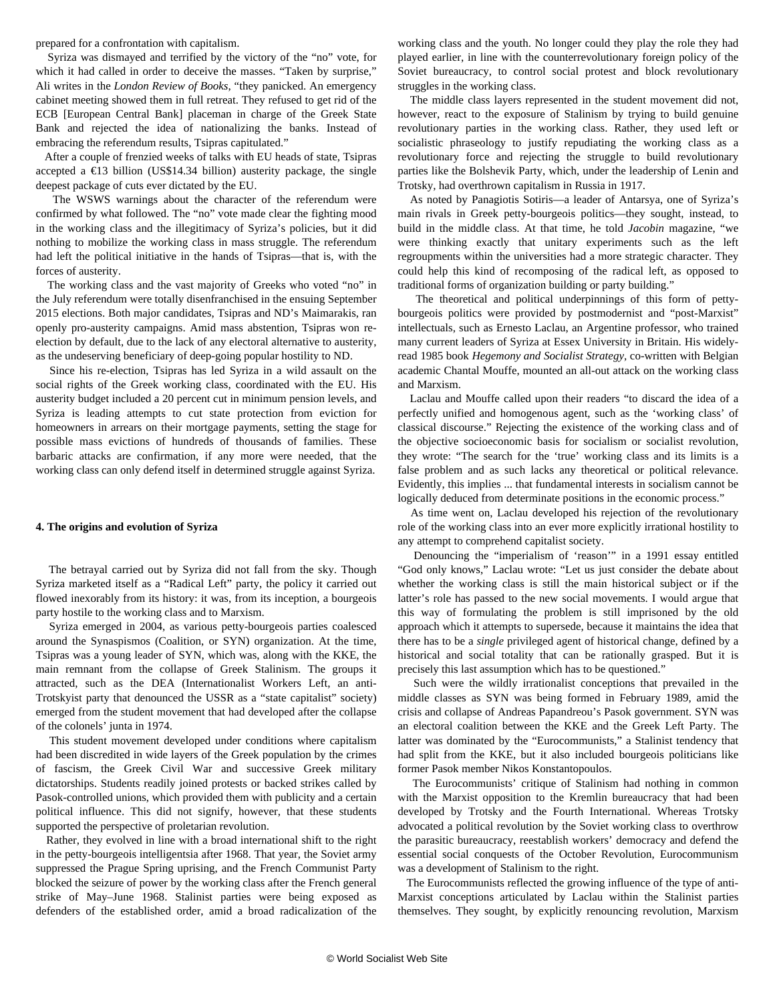prepared for a confrontation with capitalism.

 Syriza was dismayed and terrified by the victory of the "no" vote, for which it had called in order to deceive the masses. "Taken by surprise," Ali writes in the *London Review of Books*, "they panicked. An emergency cabinet meeting showed them in full retreat. They refused to get rid of the ECB [European Central Bank] placeman in charge of the Greek State Bank and rejected the idea of nationalizing the banks. Instead of embracing the referendum results, Tsipras capitulated."

 After a couple of frenzied weeks of talks with EU heads of state, Tsipras accepted a  $\epsilon$ 13 billion (US\$14.34 billion) austerity package, the single deepest package of cuts ever dictated by the EU.

 The WSWS warnings about the character of the referendum were confirmed by what followed. The "no" vote made clear the fighting mood in the working class and the illegitimacy of Syriza's policies, but it did nothing to mobilize the working class in mass struggle. The referendum had left the political initiative in the hands of Tsipras—that is, with the forces of austerity.

 The working class and the vast majority of Greeks who voted "no" in the July referendum were totally disenfranchised in the ensuing September 2015 elections. Both major candidates, Tsipras and ND's Maimarakis, ran openly pro-austerity campaigns. Amid mass abstention, Tsipras won reelection by default, due to the lack of any electoral alternative to austerity, as the undeserving beneficiary of deep-going popular hostility to ND.

 Since his re-election, Tsipras has led Syriza in a wild assault on the social rights of the Greek working class, coordinated with the EU. His austerity budget included a 20 percent cut in minimum pension levels, and Syriza is leading attempts to cut state protection from eviction for homeowners in arrears on their mortgage payments, setting the stage for possible mass evictions of hundreds of thousands of families. These barbaric attacks are confirmation, if any more were needed, that the working class can only defend itself in determined struggle against Syriza.

## **4. The origins and evolution of Syriza**

 The betrayal carried out by Syriza did not fall from the sky. Though Syriza marketed itself as a "Radical Left" party, the policy it carried out flowed inexorably from its history: it was, from its inception, a bourgeois party hostile to the working class and to Marxism.

 Syriza emerged in 2004, as various petty-bourgeois parties coalesced around the Synaspismos (Coalition, or SYN) organization. At the time, Tsipras was a young leader of SYN, which was, along with the KKE, the main remnant from the collapse of Greek Stalinism. The groups it attracted, such as the DEA (Internationalist Workers Left, an anti-Trotskyist party that denounced the USSR as a "state capitalist" society) emerged from the student movement that had developed after the collapse of the colonels' junta in 1974.

 This student movement developed under conditions where capitalism had been discredited in wide layers of the Greek population by the crimes of fascism, the Greek Civil War and successive Greek military dictatorships. Students readily joined protests or backed strikes called by Pasok-controlled unions, which provided them with publicity and a certain political influence. This did not signify, however, that these students supported the perspective of proletarian revolution.

 Rather, they evolved in line with a broad international shift to the right in the petty-bourgeois intelligentsia after 1968. That year, the Soviet army suppressed the Prague Spring uprising, and the French Communist Party blocked the seizure of power by the working class after the French general strike of May–June 1968. Stalinist parties were being exposed as defenders of the established order, amid a broad radicalization of the

working class and the youth. No longer could they play the role they had played earlier, in line with the counterrevolutionary foreign policy of the Soviet bureaucracy, to control social protest and block revolutionary struggles in the working class.

 The middle class layers represented in the student movement did not, however, react to the exposure of Stalinism by trying to build genuine revolutionary parties in the working class. Rather, they used left or socialistic phraseology to justify repudiating the working class as a revolutionary force and rejecting the struggle to build revolutionary parties like the Bolshevik Party, which, under the leadership of Lenin and Trotsky, had overthrown capitalism in Russia in 1917.

 As noted by Panagiotis Sotiris—a leader of Antarsya, one of Syriza's main rivals in Greek petty-bourgeois politics—they sought, instead, to build in the middle class. At that time, he told *Jacobin* magazine, "we were thinking exactly that unitary experiments such as the left regroupments within the universities had a more strategic character. They could help this kind of recomposing of the radical left, as opposed to traditional forms of organization building or party building."

 The theoretical and political underpinnings of this form of pettybourgeois politics were provided by postmodernist and "post-Marxist" intellectuals, such as Ernesto Laclau, an Argentine professor, who trained many current leaders of Syriza at Essex University in Britain. His widelyread 1985 book *Hegemony and Socialist Strategy*, co-written with Belgian academic Chantal Mouffe, mounted an all-out attack on the working class and Marxism.

 Laclau and Mouffe called upon their readers "to discard the idea of a perfectly unified and homogenous agent, such as the 'working class' of classical discourse." Rejecting the existence of the working class and of the objective socioeconomic basis for socialism or socialist revolution, they wrote: "The search for the 'true' working class and its limits is a false problem and as such lacks any theoretical or political relevance. Evidently, this implies ... that fundamental interests in socialism cannot be logically deduced from determinate positions in the economic process."

 As time went on, Laclau developed his rejection of the revolutionary role of the working class into an ever more explicitly irrational hostility to any attempt to comprehend capitalist society.

 Denouncing the "imperialism of 'reason'" in a 1991 essay entitled "God only knows," Laclau wrote: "Let us just consider the debate about whether the working class is still the main historical subject or if the latter's role has passed to the new social movements. I would argue that this way of formulating the problem is still imprisoned by the old approach which it attempts to supersede, because it maintains the idea that there has to be a *single* privileged agent of historical change, defined by a historical and social totality that can be rationally grasped. But it is precisely this last assumption which has to be questioned."

 Such were the wildly irrationalist conceptions that prevailed in the middle classes as SYN was being formed in February 1989, amid the crisis and collapse of Andreas Papandreou's Pasok government. SYN was an electoral coalition between the KKE and the Greek Left Party. The latter was dominated by the "Eurocommunists," a Stalinist tendency that had split from the KKE, but it also included bourgeois politicians like former Pasok member Nikos Konstantopoulos.

 The Eurocommunists' critique of Stalinism had nothing in common with the Marxist opposition to the Kremlin bureaucracy that had been developed by Trotsky and the Fourth International. Whereas Trotsky advocated a political revolution by the Soviet working class to overthrow the parasitic bureaucracy, reestablish workers' democracy and defend the essential social conquests of the October Revolution, Eurocommunism was a development of Stalinism to the right.

 The Eurocommunists reflected the growing influence of the type of anti-Marxist conceptions articulated by Laclau within the Stalinist parties themselves. They sought, by explicitly renouncing revolution, Marxism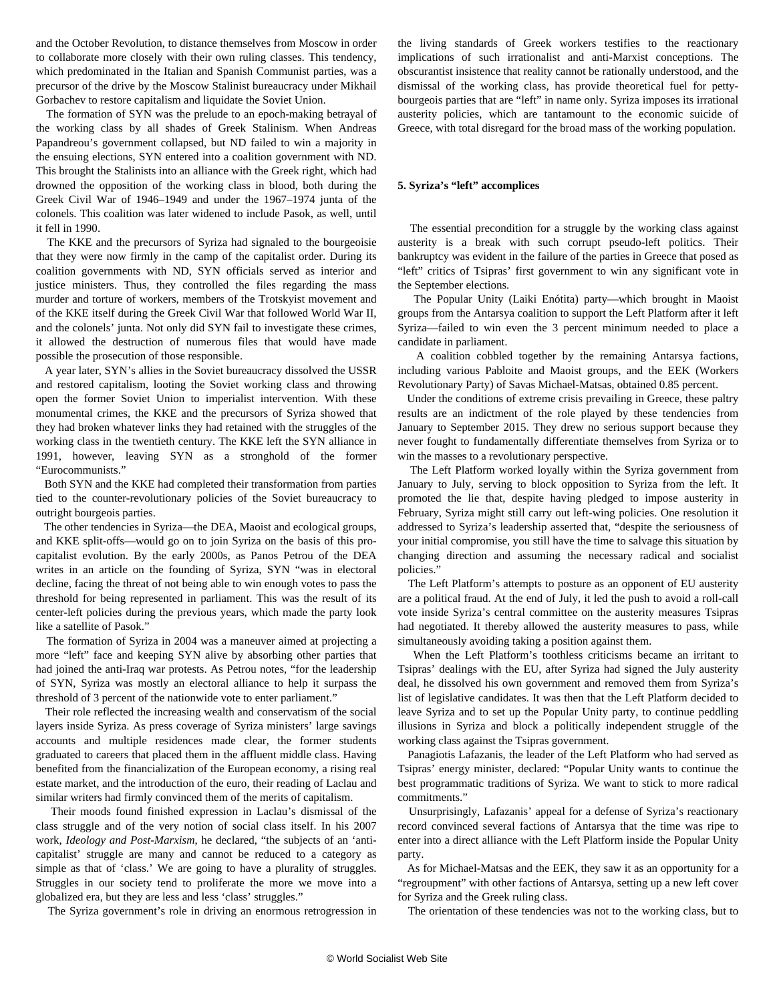and the October Revolution, to distance themselves from Moscow in order to collaborate more closely with their own ruling classes. This tendency, which predominated in the Italian and Spanish Communist parties, was a precursor of the drive by the Moscow Stalinist bureaucracy under Mikhail Gorbachev to restore capitalism and liquidate the Soviet Union.

 The formation of SYN was the prelude to an epoch-making betrayal of the working class by all shades of Greek Stalinism. When Andreas Papandreou's government collapsed, but ND failed to win a majority in the ensuing elections, SYN entered into a coalition government with ND. This brought the Stalinists into an alliance with the Greek right, which had drowned the opposition of the working class in blood, both during the Greek Civil War of 1946–1949 and under the 1967–1974 junta of the colonels. This coalition was later widened to include Pasok, as well, until it fell in 1990.

 The KKE and the precursors of Syriza had signaled to the bourgeoisie that they were now firmly in the camp of the capitalist order. During its coalition governments with ND, SYN officials served as interior and justice ministers. Thus, they controlled the files regarding the mass murder and torture of workers, members of the Trotskyist movement and of the KKE itself during the Greek Civil War that followed World War II, and the colonels' junta. Not only did SYN fail to investigate these crimes, it allowed the destruction of numerous files that would have made possible the prosecution of those responsible.

 A year later, SYN's allies in the Soviet bureaucracy dissolved the USSR and restored capitalism, looting the Soviet working class and throwing open the former Soviet Union to imperialist intervention. With these monumental crimes, the KKE and the precursors of Syriza showed that they had broken whatever links they had retained with the struggles of the working class in the twentieth century. The KKE left the SYN alliance in 1991, however, leaving SYN as a stronghold of the former "Eurocommunists."

 Both SYN and the KKE had completed their transformation from parties tied to the counter-revolutionary policies of the Soviet bureaucracy to outright bourgeois parties.

 The other tendencies in Syriza—the DEA, Maoist and ecological groups, and KKE split-offs—would go on to join Syriza on the basis of this procapitalist evolution. By the early 2000s, as Panos Petrou of the DEA writes in an article on the founding of Syriza, SYN "was in electoral decline, facing the threat of not being able to win enough votes to pass the threshold for being represented in parliament. This was the result of its center-left policies during the previous years, which made the party look like a satellite of Pasok."

 The formation of Syriza in 2004 was a maneuver aimed at projecting a more "left" face and keeping SYN alive by absorbing other parties that had joined the anti-Iraq war protests. As Petrou notes, "for the leadership of SYN, Syriza was mostly an electoral alliance to help it surpass the threshold of 3 percent of the nationwide vote to enter parliament."

 Their role reflected the increasing wealth and conservatism of the social layers inside Syriza. As press coverage of Syriza ministers' large savings accounts and multiple residences made clear, the former students graduated to careers that placed them in the affluent middle class. Having benefited from the financialization of the European economy, a rising real estate market, and the introduction of the euro, their reading of Laclau and similar writers had firmly convinced them of the merits of capitalism.

 Their moods found finished expression in Laclau's dismissal of the class struggle and of the very notion of social class itself. In his 2007 work, *Ideology and Post-Marxism*, he declared, "the subjects of an 'anticapitalist' struggle are many and cannot be reduced to a category as simple as that of 'class.' We are going to have a plurality of struggles. Struggles in our society tend to proliferate the more we move into a globalized era, but they are less and less 'class' struggles."

The Syriza government's role in driving an enormous retrogression in

the living standards of Greek workers testifies to the reactionary implications of such irrationalist and anti-Marxist conceptions. The obscurantist insistence that reality cannot be rationally understood, and the dismissal of the working class, has provide theoretical fuel for pettybourgeois parties that are "left" in name only. Syriza imposes its irrational austerity policies, which are tantamount to the economic suicide of Greece, with total disregard for the broad mass of the working population.

# **5. Syriza's "left" accomplices**

 The essential precondition for a struggle by the working class against austerity is a break with such corrupt pseudo-left politics. Their bankruptcy was evident in the failure of the parties in Greece that posed as "left" critics of Tsipras' first government to win any significant vote in the September elections.

 The Popular Unity (Laiki Enótita) party—which brought in Maoist groups from the Antarsya coalition to support the Left Platform after it left Syriza—failed to win even the 3 percent minimum needed to place a candidate in parliament.

 A coalition cobbled together by the remaining Antarsya factions, including various Pabloite and Maoist groups, and the EEK (Workers Revolutionary Party) of Savas Michael-Matsas, obtained 0.85 percent.

 Under the conditions of extreme crisis prevailing in Greece, these paltry results are an indictment of the role played by these tendencies from January to September 2015. They drew no serious support because they never fought to fundamentally differentiate themselves from Syriza or to win the masses to a revolutionary perspective.

 The Left Platform worked loyally within the Syriza government from January to July, serving to block opposition to Syriza from the left. It promoted the lie that, despite having pledged to impose austerity in February, Syriza might still carry out left-wing policies. One resolution it addressed to Syriza's leadership asserted that, "despite the seriousness of your initial compromise, you still have the time to salvage this situation by changing direction and assuming the necessary radical and socialist policies."

 The Left Platform's attempts to posture as an opponent of EU austerity are a political fraud. At the end of July, it led the push to avoid a roll-call vote inside Syriza's central committee on the austerity measures Tsipras had negotiated. It thereby allowed the austerity measures to pass, while simultaneously avoiding taking a position against them.

 When the Left Platform's toothless criticisms became an irritant to Tsipras' dealings with the EU, after Syriza had signed the July austerity deal, he dissolved his own government and removed them from Syriza's list of legislative candidates. It was then that the Left Platform decided to leave Syriza and to set up the Popular Unity party, to continue peddling illusions in Syriza and block a politically independent struggle of the working class against the Tsipras government.

 Panagiotis Lafazanis, the leader of the Left Platform who had served as Tsipras' energy minister, declared: "Popular Unity wants to continue the best programmatic traditions of Syriza. We want to stick to more radical commitments."

 Unsurprisingly, Lafazanis' appeal for a defense of Syriza's reactionary record convinced several factions of Antarsya that the time was ripe to enter into a direct alliance with the Left Platform inside the Popular Unity party.

 As for Michael-Matsas and the EEK, they saw it as an opportunity for a "regroupment" with other factions of Antarsya, setting up a new left cover for Syriza and the Greek ruling class.

The orientation of these tendencies was not to the working class, but to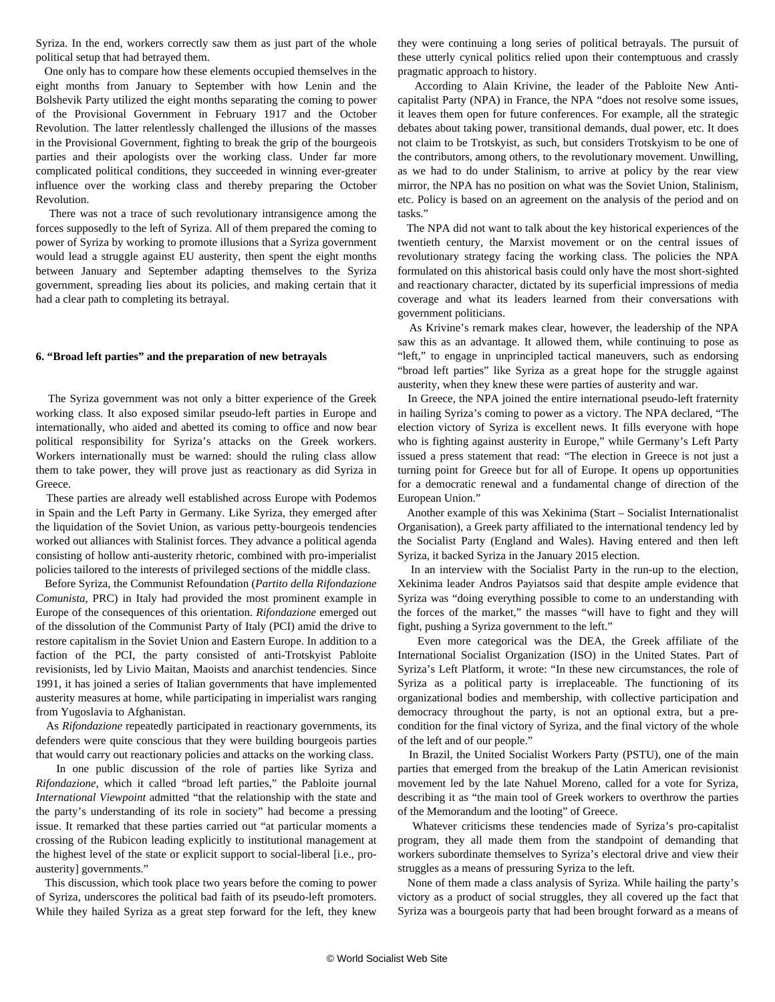Syriza. In the end, workers correctly saw them as just part of the whole political setup that had betrayed them.

 One only has to compare how these elements occupied themselves in the eight months from January to September with how Lenin and the Bolshevik Party utilized the eight months separating the coming to power of the Provisional Government in February 1917 and the October Revolution. The latter relentlessly challenged the illusions of the masses in the Provisional Government, fighting to break the grip of the bourgeois parties and their apologists over the working class. Under far more complicated political conditions, they succeeded in winning ever-greater influence over the working class and thereby preparing the October Revolution.

 There was not a trace of such revolutionary intransigence among the forces supposedly to the left of Syriza. All of them prepared the coming to power of Syriza by working to promote illusions that a Syriza government would lead a struggle against EU austerity, then spent the eight months between January and September adapting themselves to the Syriza government, spreading lies about its policies, and making certain that it had a clear path to completing its betrayal.

#### **6. "Broad left parties" and the preparation of new betrayals**

 The Syriza government was not only a bitter experience of the Greek working class. It also exposed similar pseudo-left parties in Europe and internationally, who aided and abetted its coming to office and now bear political responsibility for Syriza's attacks on the Greek workers. Workers internationally must be warned: should the ruling class allow them to take power, they will prove just as reactionary as did Syriza in Greece.

 These parties are already well established across Europe with Podemos in Spain and the Left Party in Germany. Like Syriza, they emerged after the liquidation of the Soviet Union, as various petty-bourgeois tendencies worked out alliances with Stalinist forces. They advance a political agenda consisting of hollow anti-austerity rhetoric, combined with pro-imperialist policies tailored to the interests of privileged sections of the middle class.

 Before Syriza, the Communist Refoundation (*Partito della Rifondazione Comunista*, PRC) in Italy had provided the most prominent example in Europe of the consequences of this orientation. *Rifondazione* emerged out of the dissolution of the Communist Party of Italy (PCI) amid the drive to restore capitalism in the Soviet Union and Eastern Europe. In addition to a faction of the PCI, the party consisted of anti-Trotskyist Pabloite revisionists, led by Livio Maitan, Maoists and anarchist tendencies. Since 1991, it has joined a series of Italian governments that have implemented austerity measures at home, while participating in imperialist wars ranging from Yugoslavia to Afghanistan.

 As *Rifondazione* repeatedly participated in reactionary governments, its defenders were quite conscious that they were building bourgeois parties that would carry out reactionary policies and attacks on the working class.

 In one public discussion of the role of parties like Syriza and *Rifondazione*, which it called "broad left parties," the Pabloite journal *International Viewpoint* admitted "that the relationship with the state and the party's understanding of its role in society" had become a pressing issue. It remarked that these parties carried out "at particular moments a crossing of the Rubicon leading explicitly to institutional management at the highest level of the state or explicit support to social-liberal [i.e., proausterity] governments."

 This discussion, which took place two years before the coming to power of Syriza, underscores the political bad faith of its pseudo-left promoters. While they hailed Syriza as a great step forward for the left, they knew they were continuing a long series of political betrayals. The pursuit of these utterly cynical politics relied upon their contemptuous and crassly pragmatic approach to history.

 According to Alain Krivine, the leader of the Pabloite New Anticapitalist Party (NPA) in France, the NPA "does not resolve some issues, it leaves them open for future conferences. For example, all the strategic debates about taking power, transitional demands, dual power, etc. It does not claim to be Trotskyist, as such, but considers Trotskyism to be one of the contributors, among others, to the revolutionary movement. Unwilling, as we had to do under Stalinism, to arrive at policy by the rear view mirror, the NPA has no position on what was the Soviet Union, Stalinism, etc. Policy is based on an agreement on the analysis of the period and on tasks."

 The NPA did not want to talk about the key historical experiences of the twentieth century, the Marxist movement or on the central issues of revolutionary strategy facing the working class. The policies the NPA formulated on this ahistorical basis could only have the most short-sighted and reactionary character, dictated by its superficial impressions of media coverage and what its leaders learned from their conversations with government politicians.

 As Krivine's remark makes clear, however, the leadership of the NPA saw this as an advantage. It allowed them, while continuing to pose as "left," to engage in unprincipled tactical maneuvers, such as endorsing "broad left parties" like Syriza as a great hope for the struggle against austerity, when they knew these were parties of austerity and war.

 In Greece, the NPA joined the entire international pseudo-left fraternity in hailing Syriza's coming to power as a victory. The NPA declared, "The election victory of Syriza is excellent news. It fills everyone with hope who is fighting against austerity in Europe," while Germany's Left Party issued a press statement that read: "The election in Greece is not just a turning point for Greece but for all of Europe. It opens up opportunities for a democratic renewal and a fundamental change of direction of the European Union."

 Another example of this was Xekinima (Start – Socialist Internationalist Organisation), a Greek party affiliated to the international tendency led by the Socialist Party (England and Wales). Having entered and then left Syriza, it backed Syriza in the January 2015 election.

 In an interview with the Socialist Party in the run-up to the election, Xekinima leader Andros Payiatsos said that despite ample evidence that Syriza was "doing everything possible to come to an understanding with the forces of the market," the masses "will have to fight and they will fight, pushing a Syriza government to the left."

 Even more categorical was the DEA, the Greek affiliate of the International Socialist Organization (ISO) in the United States. Part of Syriza's Left Platform, it wrote: "In these new circumstances, the role of Syriza as a political party is irreplaceable. The functioning of its organizational bodies and membership, with collective participation and democracy throughout the party, is not an optional extra, but a precondition for the final victory of Syriza, and the final victory of the whole of the left and of our people."

 In Brazil, the United Socialist Workers Party (PSTU), one of the main parties that emerged from the breakup of the Latin American revisionist movement led by the late Nahuel Moreno, called for a vote for Syriza, describing it as "the main tool of Greek workers to overthrow the parties of the Memorandum and the looting" of Greece.

 Whatever criticisms these tendencies made of Syriza's pro-capitalist program, they all made them from the standpoint of demanding that workers subordinate themselves to Syriza's electoral drive and view their struggles as a means of pressuring Syriza to the left.

 None of them made a class analysis of Syriza. While hailing the party's victory as a product of social struggles, they all covered up the fact that Syriza was a bourgeois party that had been brought forward as a means of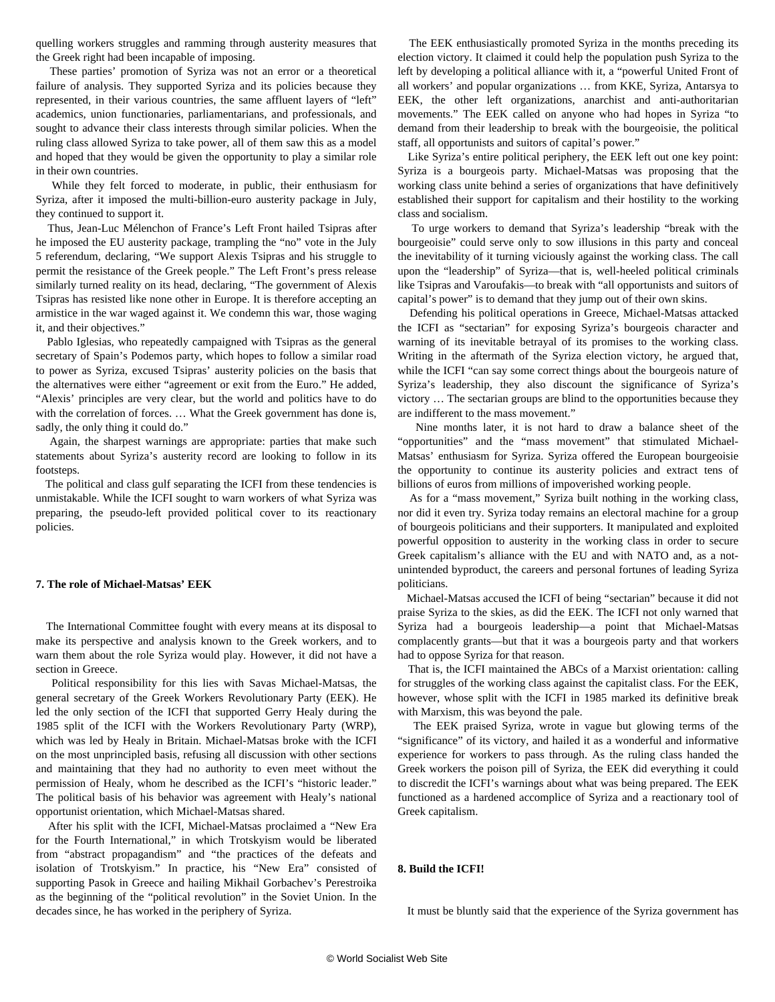quelling workers struggles and ramming through austerity measures that the Greek right had been incapable of imposing.

 These parties' promotion of Syriza was not an error or a theoretical failure of analysis. They supported Syriza and its policies because they represented, in their various countries, the same affluent layers of "left" academics, union functionaries, parliamentarians, and professionals, and sought to advance their class interests through similar policies. When the ruling class allowed Syriza to take power, all of them saw this as a model and hoped that they would be given the opportunity to play a similar role in their own countries.

 While they felt forced to moderate, in public, their enthusiasm for Syriza, after it imposed the multi-billion-euro austerity package in July, they continued to support it.

 Thus, Jean-Luc Mélenchon of France's Left Front hailed Tsipras after he imposed the EU austerity package, trampling the "no" vote in the July 5 referendum, declaring, "We support Alexis Tsipras and his struggle to permit the resistance of the Greek people." The Left Front's press release similarly turned reality on its head, declaring, "The government of Alexis Tsipras has resisted like none other in Europe. It is therefore accepting an armistice in the war waged against it. We condemn this war, those waging it, and their objectives."

 Pablo Iglesias, who repeatedly campaigned with Tsipras as the general secretary of Spain's Podemos party, which hopes to follow a similar road to power as Syriza, excused Tsipras' austerity policies on the basis that the alternatives were either "agreement or exit from the Euro." He added, "Alexis' principles are very clear, but the world and politics have to do with the correlation of forces. … What the Greek government has done is, sadly, the only thing it could do."

 Again, the sharpest warnings are appropriate: parties that make such statements about Syriza's austerity record are looking to follow in its footsteps.

 The political and class gulf separating the ICFI from these tendencies is unmistakable. While the ICFI sought to warn workers of what Syriza was preparing, the pseudo-left provided political cover to its reactionary policies.

#### **7. The role of Michael-Matsas' EEK**

 The International Committee fought with every means at its disposal to make its perspective and analysis known to the Greek workers, and to warn them about the role Syriza would play. However, it did not have a section in Greece.

 Political responsibility for this lies with Savas Michael-Matsas, the general secretary of the Greek Workers Revolutionary Party (EEK). He led the only section of the ICFI that supported Gerry Healy during the 1985 split of the ICFI with the Workers Revolutionary Party (WRP), which was led by Healy in Britain. Michael-Matsas broke with the ICFI on the most unprincipled basis, refusing all discussion with other sections and maintaining that they had no authority to even meet without the permission of Healy, whom he described as the ICFI's "historic leader." The political basis of his behavior was agreement with Healy's national opportunist orientation, which Michael-Matsas shared.

 After his split with the ICFI, Michael-Matsas proclaimed a "New Era for the Fourth International," in which Trotskyism would be liberated from "abstract propagandism" and "the practices of the defeats and isolation of Trotskyism." In practice, his "New Era" consisted of supporting Pasok in Greece and hailing Mikhail Gorbachev's Perestroika as the beginning of the "political revolution" in the Soviet Union. In the decades since, he has worked in the periphery of Syriza.

 The EEK enthusiastically promoted Syriza in the months preceding its election victory. It claimed it could help the population push Syriza to the left by developing a political alliance with it, a "powerful United Front of all workers' and popular organizations … from KKE, Syriza, Antarsya to EEK, the other left organizations, anarchist and anti-authoritarian movements." The EEK called on anyone who had hopes in Syriza "to demand from their leadership to break with the bourgeoisie, the political staff, all opportunists and suitors of capital's power."

 Like Syriza's entire political periphery, the EEK left out one key point: Syriza is a bourgeois party. Michael-Matsas was proposing that the working class unite behind a series of organizations that have definitively established their support for capitalism and their hostility to the working class and socialism.

 To urge workers to demand that Syriza's leadership "break with the bourgeoisie" could serve only to sow illusions in this party and conceal the inevitability of it turning viciously against the working class. The call upon the "leadership" of Syriza—that is, well-heeled political criminals like Tsipras and Varoufakis—to break with "all opportunists and suitors of capital's power" is to demand that they jump out of their own skins.

 Defending his political operations in Greece, Michael-Matsas attacked the ICFI as "sectarian" for exposing Syriza's bourgeois character and warning of its inevitable betrayal of its promises to the working class. Writing in the aftermath of the Syriza election victory, he argued that, while the ICFI "can say some correct things about the bourgeois nature of Syriza's leadership, they also discount the significance of Syriza's victory … The sectarian groups are blind to the opportunities because they are indifferent to the mass movement."

 Nine months later, it is not hard to draw a balance sheet of the "opportunities" and the "mass movement" that stimulated Michael-Matsas' enthusiasm for Syriza. Syriza offered the European bourgeoisie the opportunity to continue its austerity policies and extract tens of billions of euros from millions of impoverished working people.

 As for a "mass movement," Syriza built nothing in the working class, nor did it even try. Syriza today remains an electoral machine for a group of bourgeois politicians and their supporters. It manipulated and exploited powerful opposition to austerity in the working class in order to secure Greek capitalism's alliance with the EU and with NATO and, as a notunintended byproduct, the careers and personal fortunes of leading Syriza politicians.

 Michael-Matsas accused the ICFI of being "sectarian" because it did not praise Syriza to the skies, as did the EEK. The ICFI not only warned that Syriza had a bourgeois leadership—a point that Michael-Matsas complacently grants—but that it was a bourgeois party and that workers had to oppose Syriza for that reason.

 That is, the ICFI maintained the ABCs of a Marxist orientation: calling for struggles of the working class against the capitalist class. For the EEK, however, whose split with the ICFI in 1985 marked its definitive break with Marxism, this was beyond the pale.

 The EEK praised Syriza, wrote in vague but glowing terms of the "significance" of its victory, and hailed it as a wonderful and informative experience for workers to pass through. As the ruling class handed the Greek workers the poison pill of Syriza, the EEK did everything it could to discredit the ICFI's warnings about what was being prepared. The EEK functioned as a hardened accomplice of Syriza and a reactionary tool of Greek capitalism.

# **8. Build the ICFI!**

It must be bluntly said that the experience of the Syriza government has